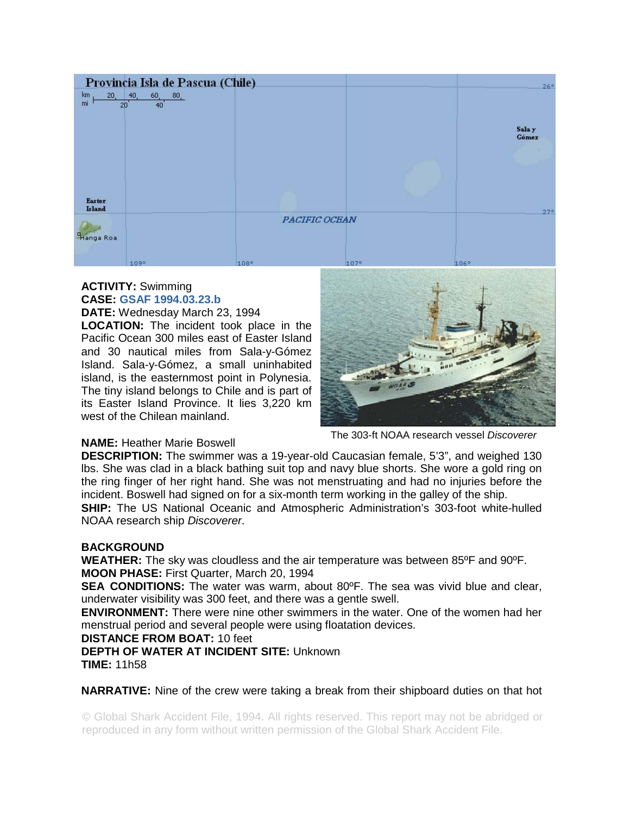

# **ACTIVITY:** Swimming **CASE: GSAF 1994.03.23.b**

**DATE:** Wednesday March 23, 1994

**LOCATION:** The incident took place in the Pacific Ocean 300 miles east of Easter Island and 30 nautical miles from Sala-y-Gómez Island. Sala-y-Gómez, a small uninhabited island, is the easternmost point in Polynesia. The tiny island belongs to Chile and is part of its Easter Island Province. It lies 3,220 km west of the Chilean mainland.



#### The 303-ft NOAA research vessel *Discoverer*

## **NAME:** Heather Marie Boswell

**DESCRIPTION:** The swimmer was a 19-year-old Caucasian female, 5'3", and weighed 130 lbs. She was clad in a black bathing suit top and navy blue shorts. She wore a gold ring on the ring finger of her right hand. She was not menstruating and had no injuries before the incident. Boswell had signed on for a six-month term working in the galley of the ship.

**SHIP:** The US National Oceanic and Atmospheric Administration's 303-foot white-hulled NOAA research ship *Discoverer*.

## **BACKGROUND**

**WEATHER:** The sky was cloudless and the air temperature was between 85ºF and 90ºF. **MOON PHASE:** First Quarter, March 20, 1994

**SEA CONDITIONS:** The water was warm, about 80<sup>o</sup>F. The sea was vivid blue and clear, underwater visibility was 300 feet, and there was a gentle swell.

**ENVIRONMENT:** There were nine other swimmers in the water. One of the women had her menstrual period and several people were using floatation devices.

### **DISTANCE FROM BOAT:** 10 feet

**DEPTH OF WATER AT INCIDENT SITE:** Unknown **TIME:** 11h58

**NARRATIVE:** Nine of the crew were taking a break from their shipboard duties on that hot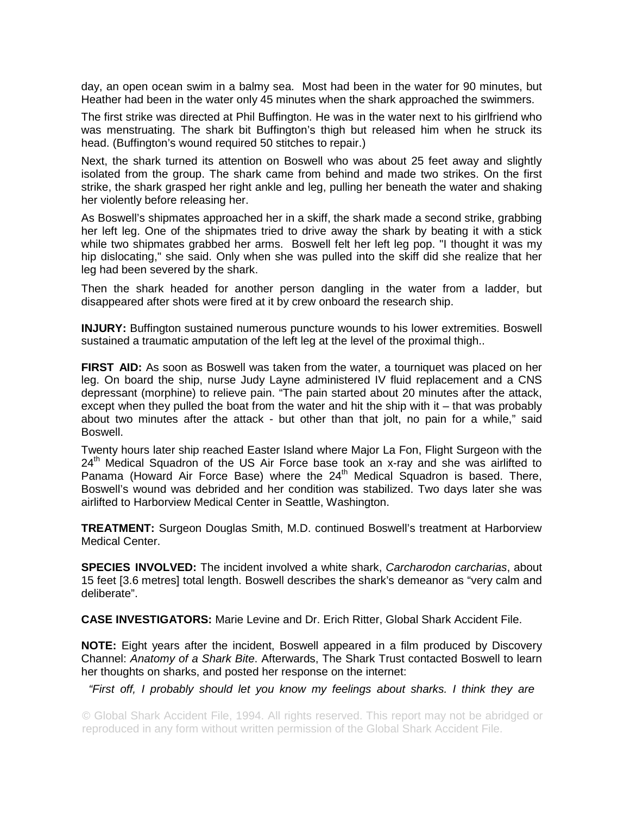day, an open ocean swim in a balmy sea. Most had been in the water for 90 minutes, but Heather had been in the water only 45 minutes when the shark approached the swimmers.

The first strike was directed at Phil Buffington. He was in the water next to his girlfriend who was menstruating. The shark bit Buffington's thigh but released him when he struck its head. (Buffington's wound required 50 stitches to repair.)

Next, the shark turned its attention on Boswell who was about 25 feet away and slightly isolated from the group. The shark came from behind and made two strikes. On the first strike, the shark grasped her right ankle and leg, pulling her beneath the water and shaking her violently before releasing her.

As Boswell's shipmates approached her in a skiff, the shark made a second strike, grabbing her left leg. One of the shipmates tried to drive away the shark by beating it with a stick while two shipmates grabbed her arms. Boswell felt her left leg pop. "I thought it was my hip dislocating," she said. Only when she was pulled into the skiff did she realize that her leg had been severed by the shark.

Then the shark headed for another person dangling in the water from a ladder, but disappeared after shots were fired at it by crew onboard the research ship.

**INJURY:** Buffington sustained numerous puncture wounds to his lower extremities. Boswell sustained a traumatic amputation of the left leg at the level of the proximal thigh..

**FIRST AID:** As soon as Boswell was taken from the water, a tourniquet was placed on her leg. On board the ship, nurse Judy Layne administered IV fluid replacement and a CNS depressant (morphine) to relieve pain. "The pain started about 20 minutes after the attack, except when they pulled the boat from the water and hit the ship with it – that was probably about two minutes after the attack - but other than that jolt, no pain for a while," said Boswell.

Twenty hours later ship reached Easter Island where Major La Fon, Flight Surgeon with the  $24<sup>th</sup>$  Medical Squadron of the US Air Force base took an x-ray and she was airlifted to Panama (Howard Air Force Base) where the  $24<sup>th</sup>$  Medical Squadron is based. There, Boswell's wound was debrided and her condition was stabilized. Two days later she was airlifted to Harborview Medical Center in Seattle, Washington.

**TREATMENT:** Surgeon Douglas Smith, M.D. continued Boswell's treatment at Harborview Medical Center.

**SPECIES INVOLVED:** The incident involved a white shark, *Carcharodon carcharias*, about 15 feet [3.6 metres] total length. Boswell describes the shark's demeanor as "very calm and deliberate".

**CASE INVESTIGATORS:** Marie Levine and Dr. Erich Ritter, Global Shark Accident File.

**NOTE:** Eight years after the incident, Boswell appeared in a film produced by Discovery Channel: *Anatomy of a Shark Bite*. Afterwards, The Shark Trust contacted Boswell to learn her thoughts on sharks, and posted her response on the internet:

*"First off, I probably should let you know my feelings about sharks. I think they are*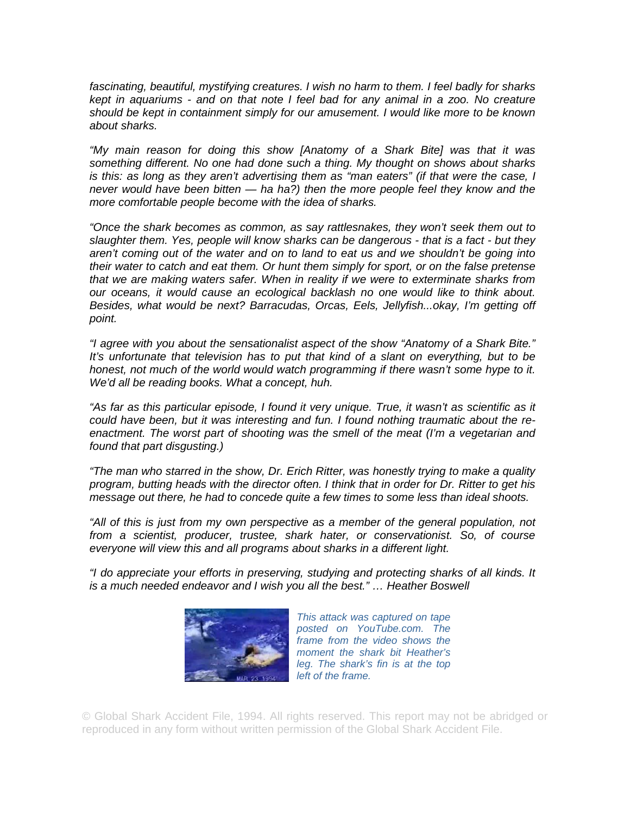*fascinating, beautiful, mystifying creatures. I wish no harm to them. I feel badly for sharks kept in aquariums - and on that note I feel bad for any animal in a zoo. No creature should be kept in containment simply for our amusement. I would like more to be known about sharks.* 

*"My main reason for doing this show [Anatomy of a Shark Bite] was that it was something different. No one had done such a thing. My thought on shows about sharks is this: as long as they aren't advertising them as "man eaters" (if that were the case, I never would have been bitten — ha ha?) then the more people feel they know and the more comfortable people become with the idea of sharks.* 

*"Once the shark becomes as common, as say rattlesnakes, they won't seek them out to slaughter them. Yes, people will know sharks can be dangerous - that is a fact - but they aren't coming out of the water and on to land to eat us and we shouldn't be going into their water to catch and eat them. Or hunt them simply for sport, or on the false pretense that we are making waters safer. When in reality if we were to exterminate sharks from our oceans, it would cause an ecological backlash no one would like to think about. Besides, what would be next? Barracudas, Orcas, Eels, Jellyfish...okay, I'm getting off point.* 

*"I agree with you about the sensationalist aspect of the show "Anatomy of a Shark Bite." It's unfortunate that television has to put that kind of a slant on everything, but to be*  honest, not much of the world would watch programming if there wasn't some hype to it. *We'd all be reading books. What a concept, huh.* 

*"As far as this particular episode, I found it very unique. True, it wasn't as scientific as it could have been, but it was interesting and fun. I found nothing traumatic about the reenactment. The worst part of shooting was the smell of the meat (I'm a vegetarian and found that part disgusting.)* 

*"The man who starred in the show, Dr. Erich Ritter, was honestly trying to make a quality program, butting heads with the director often. I think that in order for Dr. Ritter to get his message out there, he had to concede quite a few times to some less than ideal shoots.* 

*"All of this is just from my own perspective as a member of the general population, not from a scientist, producer, trustee, shark hater, or conservationist. So, of course everyone will view this and all programs about sharks in a different light.* 

*"I do appreciate your efforts in preserving, studying and protecting sharks of all kinds. It is a much needed endeavor and I wish you all the best." … Heather Boswell* 



*This attack was captured on tape posted on YouTube.com. The frame from the video shows the moment the shark bit Heather's leg. The shark's fin is at the top left of the frame.*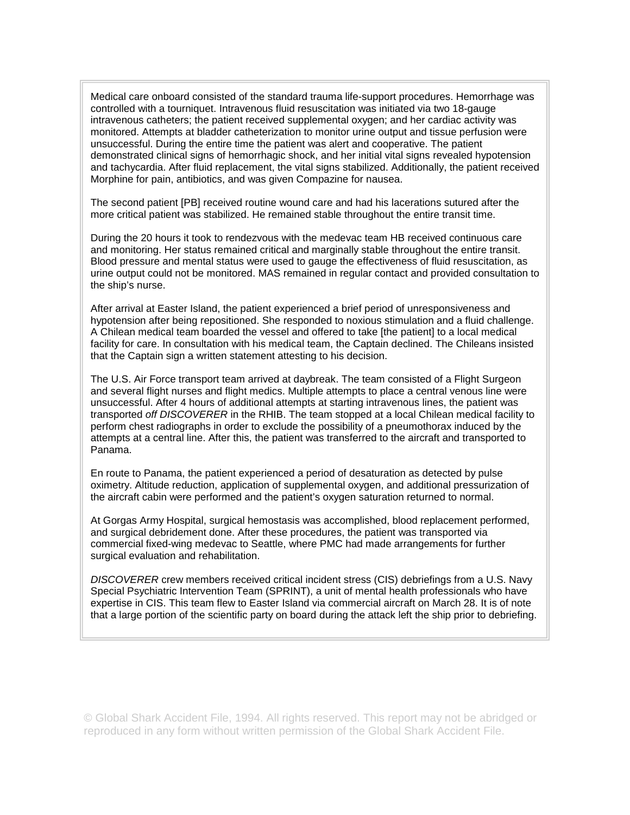Medical care onboard consisted of the standard trauma life-support procedures. Hemorrhage was controlled with a tourniquet. Intravenous fluid resuscitation was initiated via two 18-gauge intravenous catheters; the patient received supplemental oxygen; and her cardiac activity was monitored. Attempts at bladder catheterization to monitor urine output and tissue perfusion were unsuccessful. During the entire time the patient was alert and cooperative. The patient demonstrated clinical signs of hemorrhagic shock, and her initial vital signs revealed hypotension and tachycardia. After fluid replacement, the vital signs stabilized. Additionally, the patient received Morphine for pain, antibiotics, and was given Compazine for nausea.

The second patient [PB] received routine wound care and had his lacerations sutured after the more critical patient was stabilized. He remained stable throughout the entire transit time.

During the 20 hours it took to rendezvous with the medevac team HB received continuous care and monitoring. Her status remained critical and marginally stable throughout the entire transit. Blood pressure and mental status were used to gauge the effectiveness of fluid resuscitation, as urine output could not be monitored. MAS remained in regular contact and provided consultation to the ship's nurse.

After arrival at Easter Island, the patient experienced a brief period of unresponsiveness and hypotension after being repositioned. She responded to noxious stimulation and a fluid challenge. A Chilean medical team boarded the vessel and offered to take [the patient] to a local medical facility for care. In consultation with his medical team, the Captain declined. The Chileans insisted that the Captain sign a written statement attesting to his decision.

The U.S. Air Force transport team arrived at daybreak. The team consisted of a Flight Surgeon and several flight nurses and flight medics. Multiple attempts to place a central venous line were unsuccessful. After 4 hours of additional attempts at starting intravenous lines, the patient was transported *off DISCOVERER* in the RHIB. The team stopped at a local Chilean medical facility to perform chest radiographs in order to exclude the possibility of a pneumothorax induced by the attempts at a central line. After this, the patient was transferred to the aircraft and transported to Panama.

En route to Panama, the patient experienced a period of desaturation as detected by pulse oximetry. Altitude reduction, application of supplemental oxygen, and additional pressurization of the aircraft cabin were performed and the patient's oxygen saturation returned to normal.

At Gorgas Army Hospital, surgical hemostasis was accomplished, blood replacement performed, and surgical debridement done. After these procedures, the patient was transported via commercial fixed-wing medevac to Seattle, where PMC had made arrangements for further surgical evaluation and rehabilitation.

*DISCOVERER* crew members received critical incident stress (CIS) debriefings from a U.S. Navy Special Psychiatric Intervention Team (SPRINT), a unit of mental health professionals who have expertise in CIS. This team flew to Easter Island via commercial aircraft on March 28. It is of note that a large portion of the scientific party on board during the attack left the ship prior to debriefing.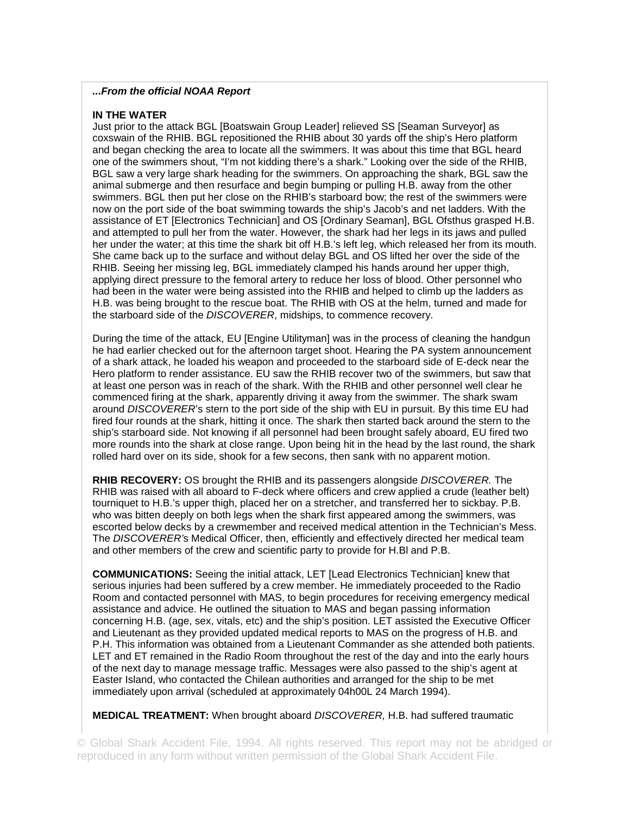### *...From the official NOAA Report*

### **IN THE WATER**

Just prior to the attack BGL [Boatswain Group Leader] relieved SS [Seaman Surveyor] as coxswain of the RHIB. BGL repositioned the RHIB about 30 yards off the ship's Hero platform and began checking the area to locate all the swimmers. It was about this time that BGL heard one of the swimmers shout, "I'm not kidding there's a shark." Looking over the side of the RHIB, BGL saw a very large shark heading for the swimmers. On approaching the shark, BGL saw the animal submerge and then resurface and begin bumping or pulling H.B. away from the other swimmers. BGL then put her close on the RHIB's starboard bow; the rest of the swimmers were now on the port side of the boat swimming towards the ship's Jacob's and net ladders. With the assistance of ET [Electronics Technician] and OS [Ordinary Seaman], BGL Ofsthus grasped H.B. and attempted to pull her from the water. However, the shark had her legs in its jaws and pulled her under the water; at this time the shark bit off H.B.'s left leg, which released her from its mouth. She came back up to the surface and without delay BGL and OS lifted her over the side of the RHIB. Seeing her missing leg, BGL immediately clamped his hands around her upper thigh, applying direct pressure to the femoral artery to reduce her loss of blood. Other personnel who had been in the water were being assisted into the RHIB and helped to climb up the ladders as H.B. was being brought to the rescue boat. The RHIB with OS at the helm, turned and made for the starboard side of the *DISCOVERER*, midships, to commence recovery.

During the time of the attack, EU [Engine Utilityman] was in the process of cleaning the handgun he had earlier checked out for the afternoon target shoot. Hearing the PA system announcement of a shark attack, he loaded his weapon and proceeded to the starboard side of E-deck near the Hero platform to render assistance. EU saw the RHIB recover two of the swimmers, but saw that at least one person was in reach of the shark. With the RHIB and other personnel well clear he commenced firing at the shark, apparently driving it away from the swimmer. The shark swam around *DISCOVERER*'s stern to the port side of the ship with EU in pursuit. By this time EU had fired four rounds at the shark, hitting it once. The shark then started back around the stern to the ship's starboard side. Not knowing if all personnel had been brought safely aboard, EU fired two more rounds into the shark at close range. Upon being hit in the head by the last round, the shark rolled hard over on its side, shook for a few secons, then sank with no apparent motion.

**RHIB RECOVERY:** OS brought the RHIB and its passengers alongside *DISCOVERER.* The RHIB was raised with all aboard to F-deck where officers and crew applied a crude (leather belt) tourniquet to H.B.'s upper thigh, placed her on a stretcher, and transferred her to sickbay. P.B. who was bitten deeply on both legs when the shark first appeared among the swimmers, was escorted below decks by a crewmember and received medical attention in the Technician's Mess. The *DISCOVERER'*s Medical Officer, then, efficiently and effectively directed her medical team and other members of the crew and scientific party to provide for H.Bl and P.B.

**COMMUNICATIONS:** Seeing the initial attack, LET [Lead Electronics Technician] knew that serious injuries had been suffered by a crew member. He immediately proceeded to the Radio Room and contacted personnel with MAS, to begin procedures for receiving emergency medical assistance and advice. He outlined the situation to MAS and began passing information concerning H.B. (age, sex, vitals, etc) and the ship's position. LET assisted the Executive Officer and Lieutenant as they provided updated medical reports to MAS on the progress of H.B. and P.H. This information was obtained from a Lieutenant Commander as she attended both patients. LET and ET remained in the Radio Room throughout the rest of the day and into the early hours of the next day to manage message traffic. Messages were also passed to the ship's agent at Easter Island, who contacted the Chilean authorities and arranged for the ship to be met immediately upon arrival (scheduled at approximately 04h00L 24 March 1994).

**MEDICAL TREATMENT:** When brought aboard *DISCOVERER,* H.B. had suffered traumatic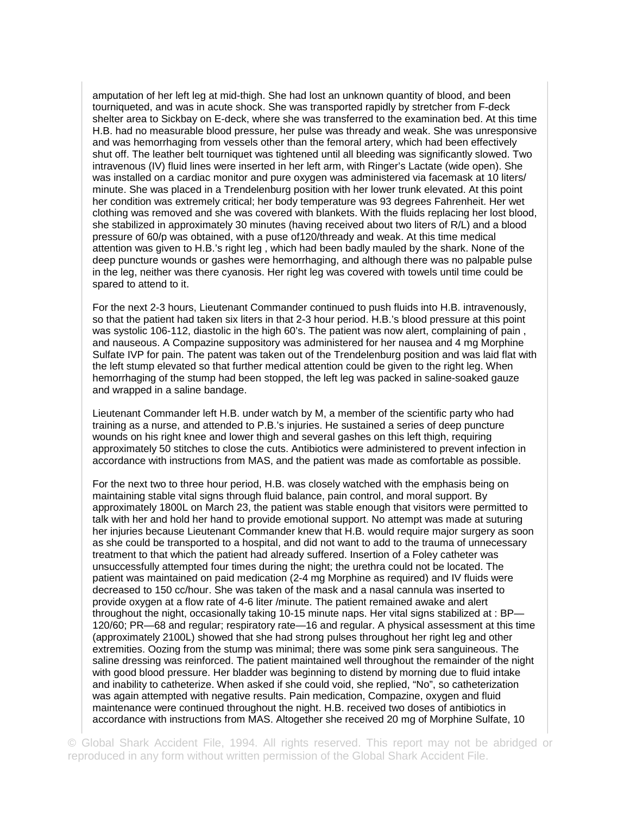amputation of her left leg at mid-thigh. She had lost an unknown quantity of blood, and been tourniqueted, and was in acute shock. She was transported rapidly by stretcher from F-deck shelter area to Sickbay on E-deck, where she was transferred to the examination bed. At this time H.B. had no measurable blood pressure, her pulse was thready and weak. She was unresponsive and was hemorrhaging from vessels other than the femoral artery, which had been effectively shut off. The leather belt tourniquet was tightened until all bleeding was significantly slowed. Two intravenous (IV) fluid lines were inserted in her left arm, with Ringer's Lactate (wide open). She was installed on a cardiac monitor and pure oxygen was administered via facemask at 10 liters/ minute. She was placed in a Trendelenburg position with her lower trunk elevated. At this point her condition was extremely critical; her body temperature was 93 degrees Fahrenheit. Her wet clothing was removed and she was covered with blankets. With the fluids replacing her lost blood, she stabilized in approximately 30 minutes (having received about two liters of R/L) and a blood pressure of 60/p was obtained, with a puse of120/thready and weak. At this time medical attention was given to H.B.'s right leg , which had been badly mauled by the shark. None of the deep puncture wounds or gashes were hemorrhaging, and although there was no palpable pulse in the leg, neither was there cyanosis. Her right leg was covered with towels until time could be spared to attend to it.

For the next 2-3 hours, Lieutenant Commander continued to push fluids into H.B. intravenously, so that the patient had taken six liters in that 2-3 hour period. H.B.'s blood pressure at this point was systolic 106-112, diastolic in the high 60's. The patient was now alert, complaining of pain , and nauseous. A Compazine suppository was administered for her nausea and 4 mg Morphine Sulfate IVP for pain. The patent was taken out of the Trendelenburg position and was laid flat with the left stump elevated so that further medical attention could be given to the right leg. When hemorrhaging of the stump had been stopped, the left leg was packed in saline-soaked gauze and wrapped in a saline bandage.

Lieutenant Commander left H.B. under watch by M, a member of the scientific party who had training as a nurse, and attended to P.B.'s injuries. He sustained a series of deep puncture wounds on his right knee and lower thigh and several gashes on this left thigh, requiring approximately 50 stitches to close the cuts. Antibiotics were administered to prevent infection in accordance with instructions from MAS, and the patient was made as comfortable as possible.

For the next two to three hour period, H.B. was closely watched with the emphasis being on maintaining stable vital signs through fluid balance, pain control, and moral support. By approximately 1800L on March 23, the patient was stable enough that visitors were permitted to talk with her and hold her hand to provide emotional support. No attempt was made at suturing her injuries because Lieutenant Commander knew that H.B. would require major surgery as soon as she could be transported to a hospital, and did not want to add to the trauma of unnecessary treatment to that which the patient had already suffered. Insertion of a Foley catheter was unsuccessfully attempted four times during the night; the urethra could not be located. The patient was maintained on paid medication (2-4 mg Morphine as required) and IV fluids were decreased to 150 cc/hour. She was taken of the mask and a nasal cannula was inserted to provide oxygen at a flow rate of 4-6 liter /minute. The patient remained awake and alert throughout the night, occasionally taking 10-15 minute naps. Her vital signs stabilized at : BP— 120/60; PR—68 and regular; respiratory rate—16 and regular. A physical assessment at this time (approximately 2100L) showed that she had strong pulses throughout her right leg and other extremities. Oozing from the stump was minimal; there was some pink sera sanguineous. The saline dressing was reinforced. The patient maintained well throughout the remainder of the night with good blood pressure. Her bladder was beginning to distend by morning due to fluid intake and inability to catheterize. When asked if she could void, she replied, "No", so catheterization was again attempted with negative results. Pain medication, Compazine, oxygen and fluid maintenance were continued throughout the night. H.B. received two doses of antibiotics in accordance with instructions from MAS. Altogether she received 20 mg of Morphine Sulfate, 10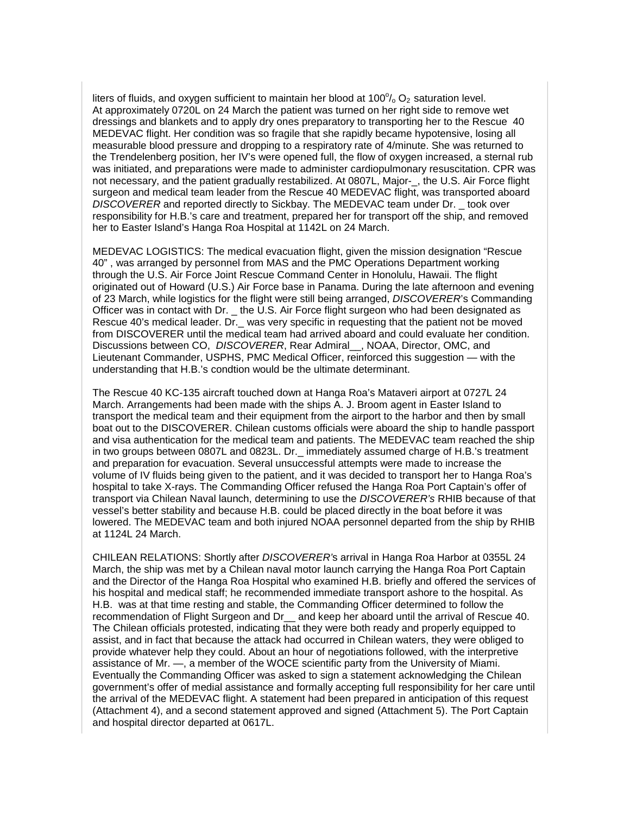liters of fluids, and oxygen sufficient to maintain her blood at 100 $\%$  O<sub>2</sub> saturation level. At approximately 0720L on 24 March the patient was turned on her right side to remove wet dressings and blankets and to apply dry ones preparatory to transporting her to the Rescue 40 MEDEVAC flight. Her condition was so fragile that she rapidly became hypotensive, losing all measurable blood pressure and dropping to a respiratory rate of 4/minute. She was returned to the Trendelenberg position, her IV's were opened full, the flow of oxygen increased, a sternal rub was initiated, and preparations were made to administer cardiopulmonary resuscitation. CPR was not necessary, and the patient gradually restabilized. At 0807L, Major-\_, the U.S. Air Force flight surgeon and medical team leader from the Rescue 40 MEDEVAC flight, was transported aboard *DISCOVERER* and reported directly to Sickbay. The MEDEVAC team under Dr. \_ took over responsibility for H.B.'s care and treatment, prepared her for transport off the ship, and removed her to Easter Island's Hanga Roa Hospital at 1142L on 24 March.

MEDEVAC LOGISTICS: The medical evacuation flight, given the mission designation "Rescue 40" , was arranged by personnel from MAS and the PMC Operations Department working through the U.S. Air Force Joint Rescue Command Center in Honolulu, Hawaii. The flight originated out of Howard (U.S.) Air Force base in Panama. During the late afternoon and evening of 23 March, while logistics for the flight were still being arranged, *DISCOVERER*'s Commanding Officer was in contact with Dr. \_ the U.S. Air Force flight surgeon who had been designated as Rescue 40's medical leader. Dr.\_ was very specific in requesting that the patient not be moved from DISCOVERER until the medical team had arrived aboard and could evaluate her condition. Discussions between CO, *DISCOVERER*, Rear Admiral\_\_, NOAA, Director, OMC, and Lieutenant Commander, USPHS, PMC Medical Officer, reinforced this suggestion — with the understanding that H.B.'s condtion would be the ultimate determinant.

The Rescue 40 KC-135 aircraft touched down at Hanga Roa's Mataveri airport at 0727L 24 March. Arrangements had been made with the ships A. J. Broom agent in Easter Island to transport the medical team and their equipment from the airport to the harbor and then by small boat out to the DISCOVERER. Chilean customs officials were aboard the ship to handle passport and visa authentication for the medical team and patients. The MEDEVAC team reached the ship in two groups between 0807L and 0823L. Dr.\_ immediately assumed charge of H.B.'s treatment and preparation for evacuation. Several unsuccessful attempts were made to increase the volume of IV fluids being given to the patient, and it was decided to transport her to Hanga Roa's hospital to take X-rays. The Commanding Officer refused the Hanga Roa Port Captain's offer of transport via Chilean Naval launch, determining to use the *DISCOVERER's* RHIB because of that vessel's better stability and because H.B. could be placed directly in the boat before it was lowered. The MEDEVAC team and both injured NOAA personnel departed from the ship by RHIB at 1124L 24 March.

CHILEAN RELATIONS: Shortly after *DISCOVERER'*s arrival in Hanga Roa Harbor at 0355L 24 March, the ship was met by a Chilean naval motor launch carrying the Hanga Roa Port Captain and the Director of the Hanga Roa Hospital who examined H.B. briefly and offered the services of his hospital and medical staff; he recommended immediate transport ashore to the hospital. As H.B. was at that time resting and stable, the Commanding Officer determined to follow the recommendation of Flight Surgeon and Dr\_\_ and keep her aboard until the arrival of Rescue 40. The Chilean officials protested, indicating that they were both ready and properly equipped to assist, and in fact that because the attack had occurred in Chilean waters, they were obliged to provide whatever help they could. About an hour of negotiations followed, with the interpretive assistance of Mr. —, a member of the WOCE scientific party from the University of Miami. Eventually the Commanding Officer was asked to sign a statement acknowledging the Chilean government's offer of medial assistance and formally accepting full responsibility for her care until the arrival of the MEDEVAC flight. A statement had been prepared in anticipation of this request (Attachment 4), and a second statement approved and signed (Attachment 5). The Port Captain and hospital director departed at 0617L.